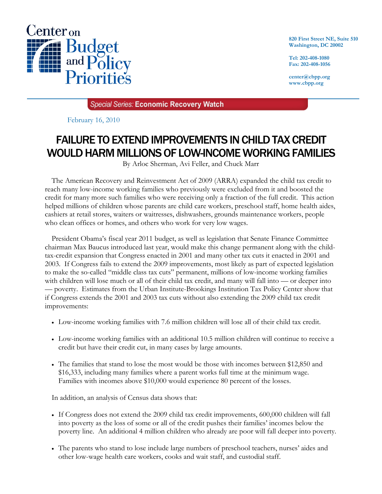

**820 First Street NE, Suite 510 Washington, DC 20002** 

**Tel: 202-408-1080 Fax: 202-408-1056** 

**center@cbpp.org www.cbpp.org** 

**Special Series: Economic Recovery Watch** 

February 16, 2010

# FAILURE TO EXTEND IMPROVEMENTS IN CHILD TAX CREDIT WOULD HARM MILLIONS OF LOW-INCOME WORKING FAMILIES

By Arloc Sherman, Avi Feller, and Chuck Marr

The American Recovery and Reinvestment Act of 2009 (ARRA) expanded the child tax credit to reach many low-income working families who previously were excluded from it and boosted the credit for many more such families who were receiving only a fraction of the full credit. This action helped millions of children whose parents are child care workers, preschool staff, home health aides, cashiers at retail stores, waiters or waitresses, dishwashers, grounds maintenance workers, people who clean offices or homes, and others who work for very low wages.

President Obama's fiscal year 2011 budget, as well as legislation that Senate Finance Committee chairman Max Baucus introduced last year, would make this change permanent along with the childtax-credit expansion that Congress enacted in 2001 and many other tax cuts it enacted in 2001 and 2003. If Congress fails to extend the 2009 improvements, most likely as part of expected legislation to make the so-called "middle class tax cuts" permanent, millions of low-income working families with children will lose much or all of their child tax credit, and many will fall into — or deeper into — poverty. Estimates from the Urban Institute-Brookings Institution Tax Policy Center show that if Congress extends the 2001 and 2003 tax cuts without also extending the 2009 child tax credit improvements:

- Low-income working families with 7.6 million children will lose all of their child tax credit.
- Low-income working families with an additional 10.5 million children will continue to receive a credit but have their credit cut, in many cases by large amounts.
- The families that stand to lose the most would be those with incomes between \$12,850 and \$16,333, including many families where a parent works full time at the minimum wage. Families with incomes above \$10,000 would experience 80 percent of the losses.

In addition, an analysis of Census data shows that:

- If Congress does not extend the 2009 child tax credit improvements, 600,000 children will fall into poverty as the loss of some or all of the credit pushes their families' incomes below the poverty line. An additional 4 million children who already are poor will fall deeper into poverty.
- The parents who stand to lose include large numbers of preschool teachers, nurses' aides and other low-wage health care workers, cooks and wait staff, and custodial staff.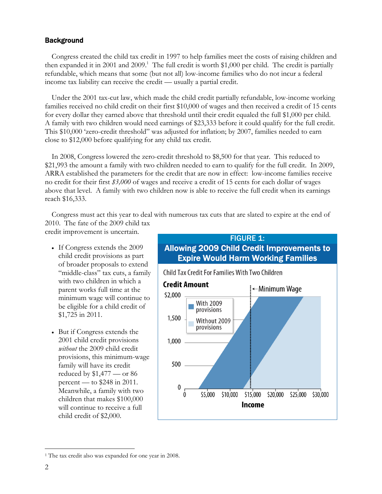### **Background**

Congress created the child tax credit in 1997 to help families meet the costs of raising children and then expanded it in 2001 and 2009.<sup>1</sup> The full credit is worth \$1,000 per child. The credit is partially refundable, which means that some (but not all) low-income families who do not incur a federal income tax liability can receive the credit — usually a partial credit.

Under the 2001 tax-cut law, which made the child credit partially refundable, low-income working families received no child credit on their first \$10,000 of wages and then received a credit of 15 cents for every dollar they earned above that threshold until their credit equaled the full \$1,000 per child. A family with two children would need earnings of \$23,333 before it could qualify for the full credit. This \$10,000 'zero-credit threshold" was adjusted for inflation; by 2007, families needed to earn close to \$12,000 before qualifying for any child tax credit.

In 2008, Congress lowered the zero-credit threshold to \$8,500 for that year. This reduced to \$21,993 the amount a family with two children needed to earn to qualify for the full credit. In 2009, ARRA established the parameters for the credit that are now in effect: low-income families receive no credit for their first *\$3,000* of wages and receive a credit of 15 cents for each dollar of wages above that level. A family with two children now is able to receive the full credit when its earnings reach \$16,333.

Congress must act this year to deal with numerous tax cuts that are slated to expire at the end of 2010. The fate of the 2009 child tax

credit improvement is uncertain.

- If Congress extends the 2009 child credit provisions as part of broader proposals to extend "middle-class" tax cuts, a family with two children in which a parent works full time at the minimum wage will continue to be eligible for a child credit of \$1,725 in 2011.
- But if Congress extends the 2001 child credit provisions *without* the 2009 child credit provisions, this minimum-wage family will have its credit reduced by \$1,477 — or 86 percent — to \$248 in 2011. Meanwhile, a family with two children that makes \$100,000 will continue to receive a full child credit of \$2,000.



 $\overline{a}$ <sup>1</sup> The tax credit also was expanded for one year in 2008.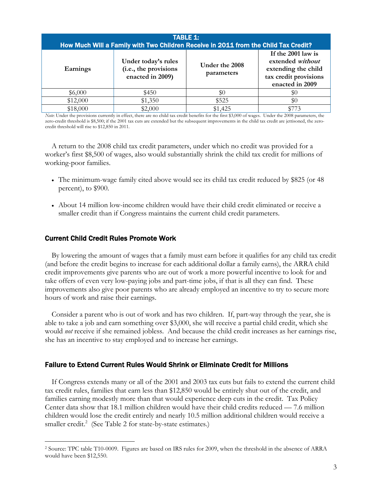| <b>TABLE 1:</b><br>How Much Will a Family with Two Children Receive in 2011 from the Child Tax Credit? |                                                                  |                              |                                                                                                           |  |  |
|--------------------------------------------------------------------------------------------------------|------------------------------------------------------------------|------------------------------|-----------------------------------------------------------------------------------------------------------|--|--|
| Earnings                                                                                               | Under today's rules<br>(i.e., the provisions<br>enacted in 2009) | Under the 2008<br>parameters | If the 2001 law is<br>extended without<br>extending the child<br>tax credit provisions<br>enacted in 2009 |  |  |
| \$6,000                                                                                                | \$450                                                            | \$0                          | \$0                                                                                                       |  |  |
| \$12,000                                                                                               | \$1,350                                                          | \$525                        | \$0                                                                                                       |  |  |
| \$18,000                                                                                               | \$2,000                                                          | \$1,425                      |                                                                                                           |  |  |

*Note*: Under the provisions currently in effect, there are no child tax credit benefits for the first \$3,000 of wages. Under the 2008 parameters, the zero-credit threshold is \$8,500; if the 2001 tax cuts are extended but the subsequent improvements in the child tax credit are jettisoned, the zerocredit threshold will rise to \$12,850 in 2011.

A return to the 2008 child tax credit parameters, under which no credit was provided for a worker's first \$8,500 of wages, also would substantially shrink the child tax credit for millions of working-poor families.

- The minimum-wage family cited above would see its child tax credit reduced by \$825 (or 48 percent), to \$900.
- About 14 million low-income children would have their child credit eliminated or receive a smaller credit than if Congress maintains the current child credit parameters.

### Current Child Credit Rules Promote Work

 $\overline{a}$ 

 By lowering the amount of wages that a family must earn before it qualifies for any child tax credit (and before the credit begins to increase for each additional dollar a family earns), the ARRA child credit improvements give parents who are out of work a more powerful incentive to look for and take offers of even very low-paying jobs and part-time jobs, if that is all they can find. These improvements also give poor parents who are already employed an incentive to try to secure more hours of work and raise their earnings.

Consider a parent who is out of work and has two children. If, part-way through the year, she is able to take a job and earn something over \$3,000, she will receive a partial child credit, which she would *not* receive if she remained jobless. And because the child credit increases as her earnings rise, she has an incentive to stay employed and to increase her earnings.

#### Failure to Extend Current Rules Would Shrink or Eliminate Credit for Millions

 If Congress extends many or all of the 2001 and 2003 tax cuts but fails to extend the current child tax credit rules, families that earn less than \$12,850 would be entirely shut out of the credit, and families earning modestly more than that would experience deep cuts in the credit. Tax Policy Center data show that 18.1 million children would have their child credits reduced — 7.6 million children would lose the credit entirely and nearly 10.5 million additional children would receive a smaller credit.<sup>2</sup> (See Table 2 for state-by-state estimates.)

<sup>2</sup> Source: TPC table T10-0009. Figures are based on IRS rules for 2009, when the threshold in the absence of ARRA would have been \$12,550.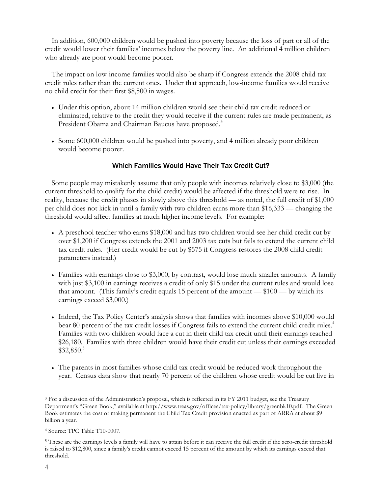In addition, 600,000 children would be pushed into poverty because the loss of part or all of the credit would lower their families' incomes below the poverty line. An additional 4 million children who already are poor would become poorer.

The impact on low-income families would also be sharp if Congress extends the 2008 child tax credit rules rather than the current ones. Under that approach, low-income families would receive no child credit for their first \$8,500 in wages.

- Under this option, about 14 million children would see their child tax credit reduced or eliminated, relative to the credit they would receive if the current rules are made permanent, as President Obama and Chairman Baucus have proposed.<sup>3</sup>
- Some 600,000 children would be pushed into poverty, and 4 million already poor children would become poorer.

### Which Families Would Have Their Tax Credit Cut?

 Some people may mistakenly assume that only people with incomes relatively close to \$3,000 (the current threshold to qualify for the child credit) would be affected if the threshold were to rise. In reality, because the credit phases in slowly above this threshold — as noted, the full credit of \$1,000 per child does not kick in until a family with two children earns more than \$16,333 — changing the threshold would affect families at much higher income levels. For example:

- A preschool teacher who earns \$18,000 and has two children would see her child credit cut by over \$1,200 if Congress extends the 2001 and 2003 tax cuts but fails to extend the current child tax credit rules. (Her credit would be cut by \$575 if Congress restores the 2008 child credit parameters instead.)
- Families with earnings close to \$3,000, by contrast, would lose much smaller amounts. A family with just \$3,100 in earnings receives a credit of only \$15 under the current rules and would lose that amount. (This family's credit equals 15 percent of the amount  $-\$100$  — by which its earnings exceed \$3,000.)
- Indeed, the Tax Policy Center's analysis shows that families with incomes above \$10,000 would bear 80 percent of the tax credit losses if Congress fails to extend the current child credit rules.<sup>4</sup> Families with two children would face a cut in their child tax credit until their earnings reached \$26,180. Families with three children would have their credit cut unless their earnings exceeded \$32,850.5
- The parents in most families whose child tax credit would be reduced work throughout the year. Census data show that nearly 70 percent of the children whose credit would be cut live in

 $\overline{a}$ 

<sup>&</sup>lt;sup>3</sup> For a discussion of the Administration's proposal, which is reflected in its FY 2011 budget, see the Treasury Department's "Green Book," available at http://www.treas.gov/offices/tax-policy/library/greenbk10.pdf. The Green Book estimates the cost of making permanent the Child Tax Credit provision enacted as part of ARRA at about \$9 billion a year.

<sup>4</sup> Source: TPC Table T10-0007.

<sup>&</sup>lt;sup>5</sup> These are the earnings levels a family will have to attain before it can receive the full credit if the zero-credit threshold is raised to \$12,800, since a family's credit cannot exceed 15 percent of the amount by which its earnings exceed that threshold.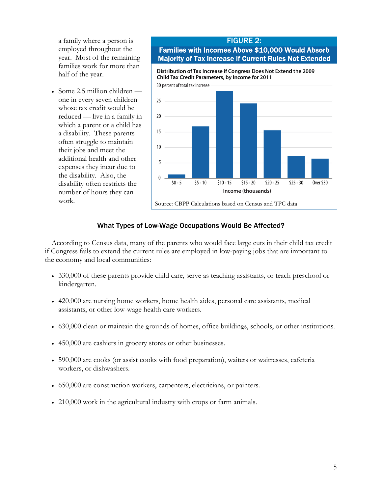a family where a person is employed throughout the year. Most of the remaining families work for more than half of the year.

 Some 2.5 million children one in every seven children whose tax credit would be reduced — live in a family in which a parent or a child has a disability. These parents often struggle to maintain their jobs and meet the additional health and other expenses they incur due to the disability. Also, the disability often restricts the number of hours they can work.

## FIGURE 2: Families with Incomes Above \$10,000 Would Absorb Majority of Tax Increase if Current Rules Not Extended



## What Types of Low-Wage Occupations Would Be Affected?

According to Census data, many of the parents who would face large cuts in their child tax credit if Congress fails to extend the current rules are employed in low-paying jobs that are important to the economy and local communities:

- 330,000 of these parents provide child care, serve as teaching assistants, or teach preschool or kindergarten.
- 420,000 are nursing home workers, home health aides, personal care assistants, medical assistants, or other low-wage health care workers.
- 630,000 clean or maintain the grounds of homes, office buildings, schools, or other institutions.
- 450,000 are cashiers in grocery stores or other businesses.
- 590,000 are cooks (or assist cooks with food preparation), waiters or waitresses, cafeteria workers, or dishwashers.
- 650,000 are construction workers, carpenters, electricians, or painters.
- 210,000 work in the agricultural industry with crops or farm animals.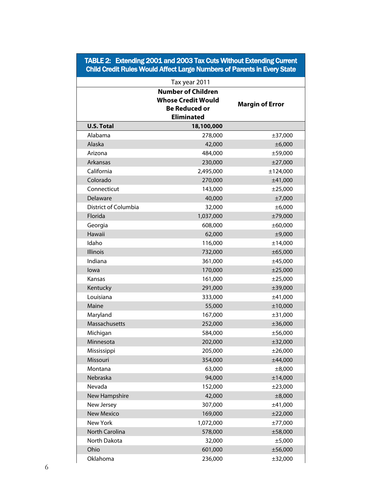### TABLE 2: Extending 2001 and 2003 Tax Cuts Without Extending Current Child Credit Rules Would Affect Large Numbers of Parents in Every State

|                      | Tax year 2011             |                        |
|----------------------|---------------------------|------------------------|
|                      | <b>Number of Children</b> |                        |
|                      | <b>Whose Credit Would</b> | <b>Margin of Error</b> |
|                      |                           |                        |
|                      | <b>Eliminated</b>         |                        |
| <b>U.S. Total</b>    | 18,100,000                |                        |
| Alabama              | 278,000                   | ±37,000                |
| Alaska               | 42,000                    | ±6,000                 |
| Arizona              | 484,000                   | ±59,000                |
| Arkansas             | 230,000                   | ±27,000                |
| California           | 2,495,000                 | ±124,000               |
| Colorado             | 270,000                   | ±41,000                |
| Connecticut          | 143,000                   | ±25,000                |
| Delaware             | 40,000                    | ±7,000                 |
| District of Columbia | 32,000                    | ±6,000                 |
| Florida              | 1,037,000                 | ±79,000                |
| Georgia              | 608,000                   | ±60,000                |
| Hawaii               | 62,000                    | ±9,000                 |
| Idaho                | 116,000                   | ±14,000                |
| Illinois             | 732,000                   | ±65,000                |
| Indiana              | 361,000                   | ±45,000                |
| lowa                 | 170,000                   | ±25,000                |
| Kansas               | 161,000                   | ±25,000                |
| Kentucky             | 291,000                   | ±39,000                |
| Louisiana            | 333,000                   | ±41,000                |
| Maine                | 55,000                    | ±10,000                |
| Maryland             | 167,000                   | ±31,000                |
| Massachusetts        | 252,000                   | ±36,000                |
| Michigan             | 584,000                   | ±56,000                |
| Minnesota            | 202,000                   | ±32,000                |
| Mississippi          | 205,000                   | ±26,000                |
| Missouri             | 354,000                   | ±44,000                |
| Montana              | 63,000                    | $\pm 8,000$            |
| Nebraska             | 94,000                    | ±14,000                |
| Nevada               | 152,000                   | ±23,000                |
| New Hampshire        | 42,000                    | $\pm 8,000$            |
| New Jersey           | 307,000                   | ±41,000                |
| <b>New Mexico</b>    | 169,000                   | ±22,000                |
| New York             | 1,072,000                 | ±77,000                |
| North Carolina       | 578,000                   | ±58,000                |
| North Dakota         | 32,000                    | ±5,000                 |
| Ohio                 | 601,000                   | ±56,000                |
| Oklahoma             | 236,000                   | ±32,000                |